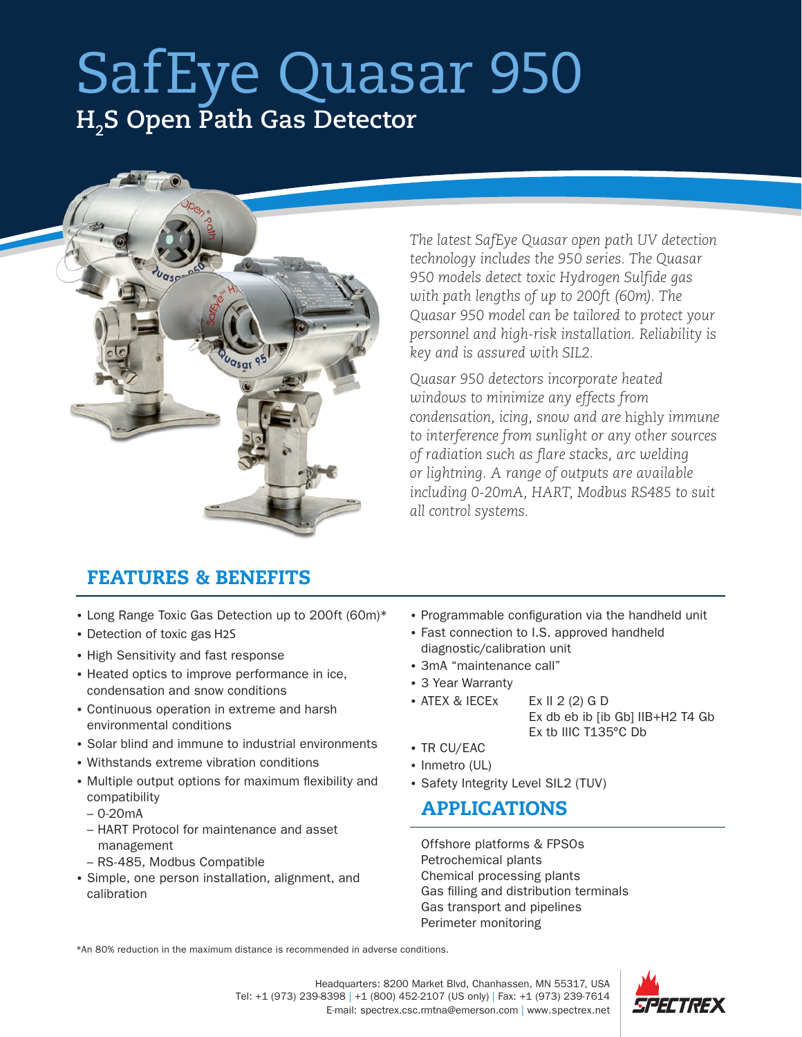## SafEye Quasar 950 **H2 S Open Path Gas Detector**



*The latest SafEye Quasar open path UV detection technology includes the 950 series. The Quasar 950 models detect toxic Hydrogen Sulfide gas with path lengths of up to 200ft (60m). The Quasar 950 model can be tailored to protect your personnel and high-risk installation. Reliability is key and is assured with SIL2.*

*Quasar 950 detectors incorporate heated windows to minimize any effects from condensation, icing, snow and are* highly *immune to interference from sunlight or any other sources of radiation such as flare stacks, arc welding or lightning. A range of outputs are available including 0-20mA, HART, Modbus RS485 to suit all control systems.*

## FEATURES & BENEFITS

- Long Range Toxic Gas Detection up to 200ft (60m)\*
- Detection of toxic gas H2S
- High Sensitivity and fast response
- Heated optics to improve performance in ice, condensation and snow conditions
- Continuous operation in extreme and harsh environmental conditions
- Solar blind and immune to industrial environments
- Withstands extreme vibration conditions
- Multiple output options for maximum flexibility and compatibility
	- 0-20mA
	- HART Protocol for maintenance and asset management
	- RS-485, Modbus Compatible
- Simple, one person installation, alignment, and calibration
- Programmable configuration via the handheld unit
- Fast connection to I.S. approved handheld diagnostic/calibration unit
- 3mA "maintenance call"
- 3 Year Warranty
- ATEX & IECEx Ex II 2 (2) G D Ex db eb ib [ib Gb] IIB+H2 T4 Gb Ex tb IIIC T135°C Db
- TR CU/EAC
- Inmetro (UL)
- Safety Integrity Level SIL2 (TUV)

## APPLICATIONS

Offshore platforms & FPSOs Petrochemical plants Chemical processing plants Gas filling and distribution terminals Gas transport and pipelines Perimeter monitoring

\*An 80% reduction in the maximum distance is recommended in adverse conditions.